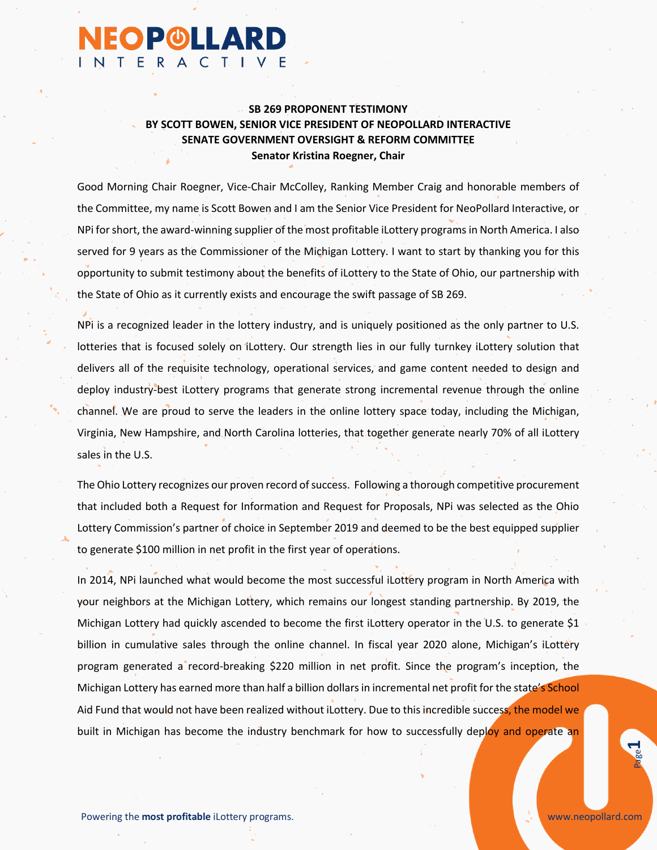## **SB 269 PROPONENT TESTIMONY BY SCOTT BOWEN, SENIOR VICE PRESIDENT OF NEOPOLLARD INTERACTIVE SENATE GOVERNMENT OVERSIGHT & REFORM COMMITTEE Senator Kristina Roegner, Chair**

**NEOP®LLARD** 

NTERACTIVE

Good Morning Chair Roegner, Vice-Chair McColley, Ranking Member Craig and honorable members of the Committee, my name is Scott Bowen and I am the Senior Vice President for NeoPollard Interactive, or NPi for short, the award-winning supplier of the most profitable iLottery programs in North America. I also served for 9 years as the Commissioner of the Michigan Lottery. I want to start by thanking you for this opportunity to submit testimony about the benefits of iLottery to the State of Ohio, our partnership with the State of Ohio as it currently exists and encourage the swift passage of SB 269.

NPi is a recognized leader in the lottery industry, and is uniquely positioned as the only partner to U.S. lotteries that is focused solely on iLottery. Our strength lies in our fully turnkey iLottery solution that delivers all of the requisite technology, operational services, and game content needed to design and deploy industry-best iLottery programs that generate strong incremental revenue through the online channel. We are proud to serve the leaders in the online lottery space today, including the Michigan, Virginia, New Hampshire, and North Carolina lotteries, that together generate nearly 70% of all iLottery sales in the U.S.

The Ohio Lottery recognizes our proven record of success. Following a thorough competitive procurement that included both a Request for Information and Request for Proposals, NPi was selected as the Ohio Lottery Commission's partner of choice in September 2019 and deemed to be the best equipped supplier to generate \$100 million in net profit in the first year of operations.

In 2014, NPi launched what would become the most successful iLottery program in North America with your neighbors at the Michigan Lottery, which remains our longest standing partnership. By 2019, the Michigan Lottery had quickly ascended to become the first iLottery operator in the U.S. to generate \$1 billion in cumulative sales through the online channel. In fiscal year 2020 alone, Michigan's iLottery program generated a record-breaking \$220 million in net profit. Since the program's inception, the Michigan Lottery has earned more than half a billion dollars in incremental net profit for the state's School Aid Fund that would not have been realized without iLottery. Due to this incredible success, the model we built in Michigan has become the industry benchmark for how to successfully deploy and operate an

**1**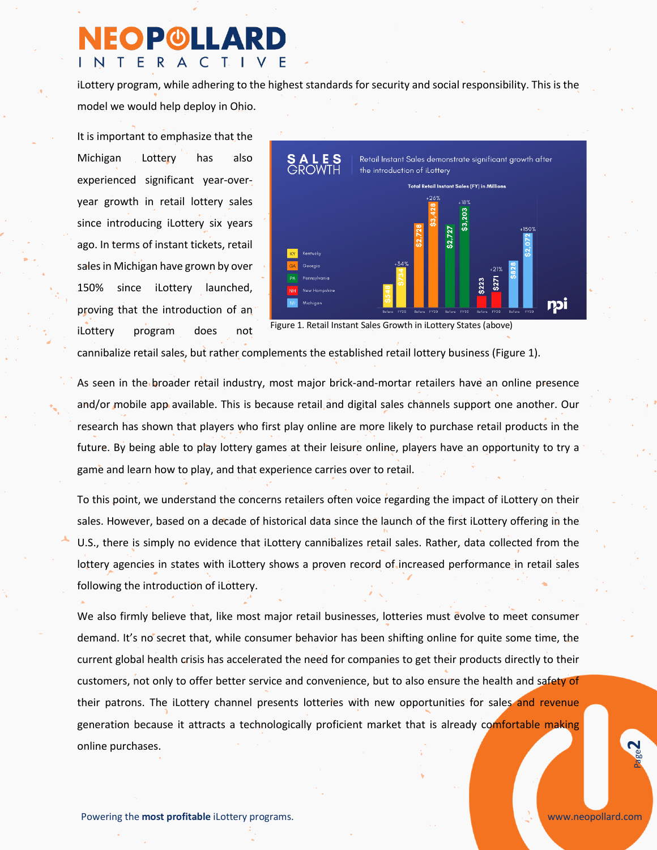## **EOPOLLAR** INTERACTIVE

iLottery program, while adhering to the highest standards for security and social responsibility. This is the model we would help deploy in Ohio.

It is important to emphasize that the Michigan Lottery has also experienced significant year-overyear growth in retail lottery sales since introducing iLottery six years ago. In terms of instant tickets, retail sales in Michigan have grown by over 150% since iLottery launched, proving that the introduction of an iLottery program does not



Figure 1. Retail Instant Sales Growth in iLottery States (above)

cannibalize retail sales, but rather complements the established retail lottery business (Figure 1).

As seen in the broader retail industry, most major brick-and-mortar retailers have an online presence and/or mobile app available. This is because retail and digital sales channels support one another. Our research has shown that players who first play online are more likely to purchase retail products in the future. By being able to play lottery games at their leisure online, players have an opportunity to try a game and learn how to play, and that experience carries over to retail.

To this point, we understand the concerns retailers often voice regarding the impact of iLottery on their sales. However, based on a decade of historical data since the launch of the first iLottery offering in the U.S., there is simply no evidence that iLottery cannibalizes retail sales. Rather, data collected from the lottery agencies in states with iLottery shows a proven record of increased performance in retail sales following the introduction of iLottery.

We also firmly believe that, like most major retail businesses, lotteries must evolve to meet consumer demand. It's no secret that, while consumer behavior has been shifting online for quite some time, the current global health crisis has accelerated the need for companies to get their products directly to their customers, not only to offer better service and convenience, but to also ensure the health and safety of their patrons. The iLottery channel presents lotteries with new opportunities for sales and revenue generation because it attracts a technologically proficient market that is already comfortable making online purchases.

**2**